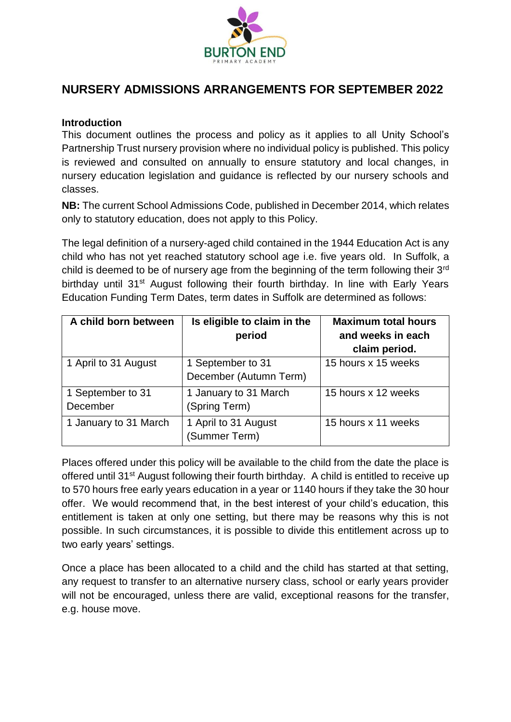

# **NURSERY ADMISSIONS ARRANGEMENTS FOR SEPTEMBER 2022**

#### **Introduction**

This document outlines the process and policy as it applies to all Unity School's Partnership Trust nursery provision where no individual policy is published. This policy is reviewed and consulted on annually to ensure statutory and local changes, in nursery education legislation and guidance is reflected by our nursery schools and classes.

**NB:** The current School Admissions Code, published in December 2014, which relates only to statutory education, does not apply to this Policy.

The legal definition of a nursery-aged child contained in the 1944 Education Act is any child who has not yet reached statutory school age i.e. five years old. In Suffolk, a child is deemed to be of nursery age from the beginning of the term following their 3<sup>rd</sup> birthday until 31<sup>st</sup> August following their fourth birthday. In line with Early Years Education Funding Term Dates, term dates in Suffolk are determined as follows:

| A child born between          | Is eligible to claim in the<br>period       | <b>Maximum total hours</b><br>and weeks in each<br>claim period. |
|-------------------------------|---------------------------------------------|------------------------------------------------------------------|
| 1 April to 31 August          | 1 September to 31<br>December (Autumn Term) | 15 hours x 15 weeks                                              |
| 1 September to 31<br>December | 1 January to 31 March<br>(Spring Term)      | 15 hours x 12 weeks                                              |
| 1 January to 31 March         | 1 April to 31 August<br>(Summer Term)       | 15 hours x 11 weeks                                              |

Places offered under this policy will be available to the child from the date the place is offered until 31st August following their fourth birthday. A child is entitled to receive up to 570 hours free early years education in a year or 1140 hours if they take the 30 hour offer. We would recommend that, in the best interest of your child's education, this entitlement is taken at only one setting, but there may be reasons why this is not possible. In such circumstances, it is possible to divide this entitlement across up to two early years' settings.

Once a place has been allocated to a child and the child has started at that setting, any request to transfer to an alternative nursery class, school or early years provider will not be encouraged, unless there are valid, exceptional reasons for the transfer, e.g. house move.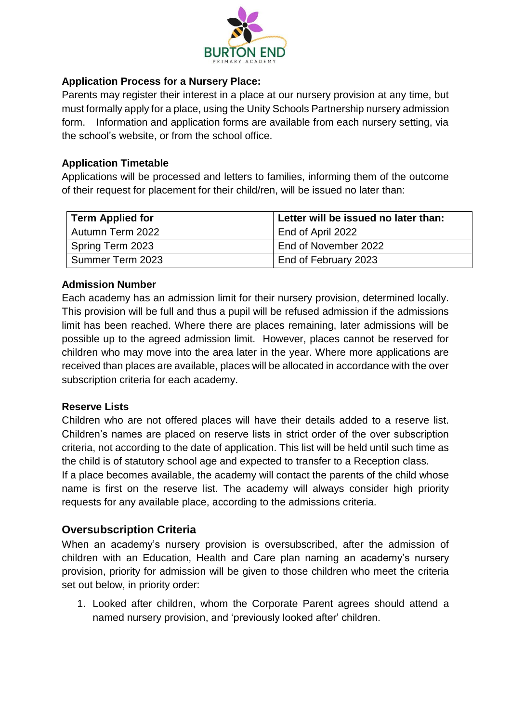

#### **Application Process for a Nursery Place:**

Parents may register their interest in a place at our nursery provision at any time, but must formally apply for a place, using the Unity Schools Partnership nursery admission form. Information and application forms are available from each nursery setting, via the school's website, or from the school office.

#### **Application Timetable**

Applications will be processed and letters to families, informing them of the outcome of their request for placement for their child/ren, will be issued no later than:

| <b>Term Applied for</b> | Letter will be issued no later than: |
|-------------------------|--------------------------------------|
| Autumn Term 2022        | End of April 2022                    |
| Spring Term 2023        | End of November 2022                 |
| Summer Term 2023        | End of February 2023                 |

# **Admission Number**

Each academy has an admission limit for their nursery provision, determined locally. This provision will be full and thus a pupil will be refused admission if the admissions limit has been reached. Where there are places remaining, later admissions will be possible up to the agreed admission limit. However, places cannot be reserved for children who may move into the area later in the year. Where more applications are received than places are available, places will be allocated in accordance with the over subscription criteria for each academy.

# **Reserve Lists**

Children who are not offered places will have their details added to a reserve list. Children's names are placed on reserve lists in strict order of the over subscription criteria, not according to the date of application. This list will be held until such time as the child is of statutory school age and expected to transfer to a Reception class.

If a place becomes available, the academy will contact the parents of the child whose name is first on the reserve list. The academy will always consider high priority requests for any available place, according to the admissions criteria.

# **Oversubscription Criteria**

When an academy's nursery provision is oversubscribed, after the admission of children with an Education, Health and Care plan naming an academy's nursery provision, priority for admission will be given to those children who meet the criteria set out below, in priority order:

1. Looked after children, whom the Corporate Parent agrees should attend a named nursery provision, and 'previously looked after' children.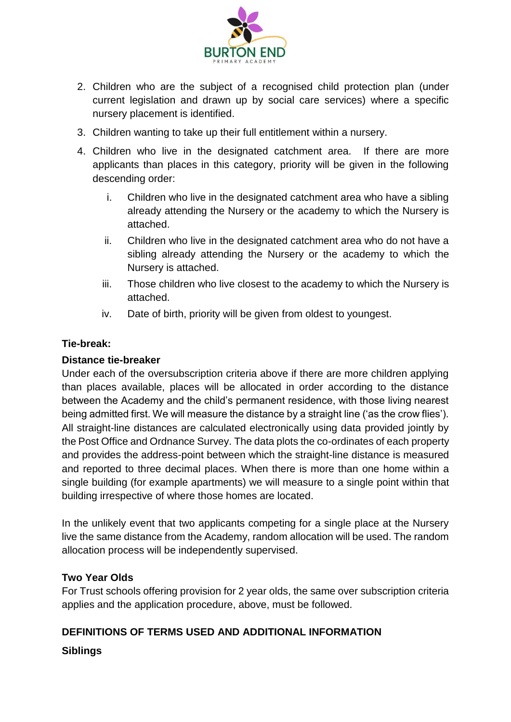

- 2. Children who are the subject of a recognised child protection plan (under current legislation and drawn up by social care services) where a specific nursery placement is identified.
- 3. Children wanting to take up their full entitlement within a nursery.
- 4. Children who live in the designated catchment area. If there are more applicants than places in this category, priority will be given in the following descending order:
	- i. Children who live in the designated catchment area who have a sibling already attending the Nursery or the academy to which the Nursery is attached.
	- ii. Children who live in the designated catchment area who do not have a sibling already attending the Nursery or the academy to which the Nursery is attached.
	- iii. Those children who live closest to the academy to which the Nursery is attached.
	- iv. Date of birth, priority will be given from oldest to youngest.

#### **Tie-break:**

#### **Distance tie-breaker**

Under each of the oversubscription criteria above if there are more children applying than places available, places will be allocated in order according to the distance between the Academy and the child's permanent residence, with those living nearest being admitted first. We will measure the distance by a straight line ('as the crow flies'). All straight-line distances are calculated electronically using data provided jointly by the Post Office and Ordnance Survey. The data plots the co-ordinates of each property and provides the address-point between which the straight-line distance is measured and reported to three decimal places. When there is more than one home within a single building (for example apartments) we will measure to a single point within that building irrespective of where those homes are located.

In the unlikely event that two applicants competing for a single place at the Nursery live the same distance from the Academy, random allocation will be used. The random allocation process will be independently supervised.

#### **Two Year Olds**

For Trust schools offering provision for 2 year olds, the same over subscription criteria applies and the application procedure, above, must be followed.

# **DEFINITIONS OF TERMS USED AND ADDITIONAL INFORMATION**

#### **Siblings**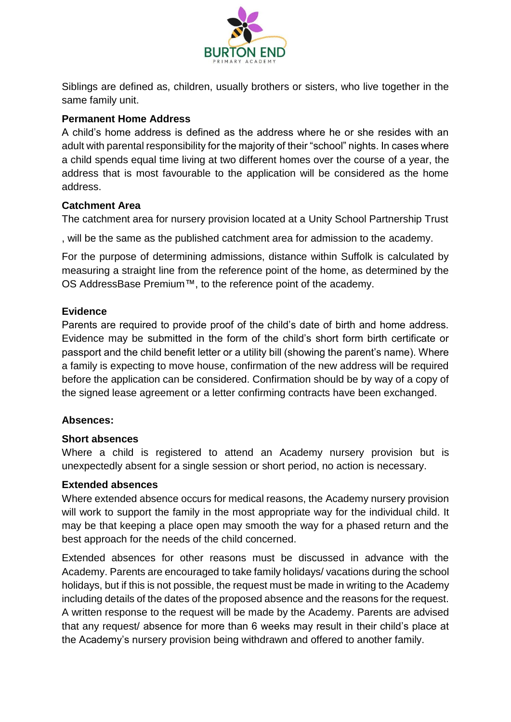

Siblings are defined as, children, usually brothers or sisters, who live together in the same family unit.

# **Permanent Home Address**

A child's home address is defined as the address where he or she resides with an adult with parental responsibility for the majority of their "school" nights. In cases where a child spends equal time living at two different homes over the course of a year, the address that is most favourable to the application will be considered as the home address.

# **Catchment Area**

The catchment area for nursery provision located at a Unity School Partnership Trust

, will be the same as the published catchment area for admission to the academy.

For the purpose of determining admissions, distance within Suffolk is calculated by measuring a straight line from the reference point of the home, as determined by the OS AddressBase Premium™, to the reference point of the academy.

# **Evidence**

Parents are required to provide proof of the child's date of birth and home address. Evidence may be submitted in the form of the child's short form birth certificate or passport and the child benefit letter or a utility bill (showing the parent's name). Where a family is expecting to move house, confirmation of the new address will be required before the application can be considered. Confirmation should be by way of a copy of the signed lease agreement or a letter confirming contracts have been exchanged.

# **Absences:**

# **Short absences**

Where a child is registered to attend an Academy nursery provision but is unexpectedly absent for a single session or short period, no action is necessary.

# **Extended absences**

Where extended absence occurs for medical reasons, the Academy nursery provision will work to support the family in the most appropriate way for the individual child. It may be that keeping a place open may smooth the way for a phased return and the best approach for the needs of the child concerned.

Extended absences for other reasons must be discussed in advance with the Academy. Parents are encouraged to take family holidays/ vacations during the school holidays, but if this is not possible, the request must be made in writing to the Academy including details of the dates of the proposed absence and the reasons for the request. A written response to the request will be made by the Academy. Parents are advised that any request/ absence for more than 6 weeks may result in their child's place at the Academy's nursery provision being withdrawn and offered to another family.